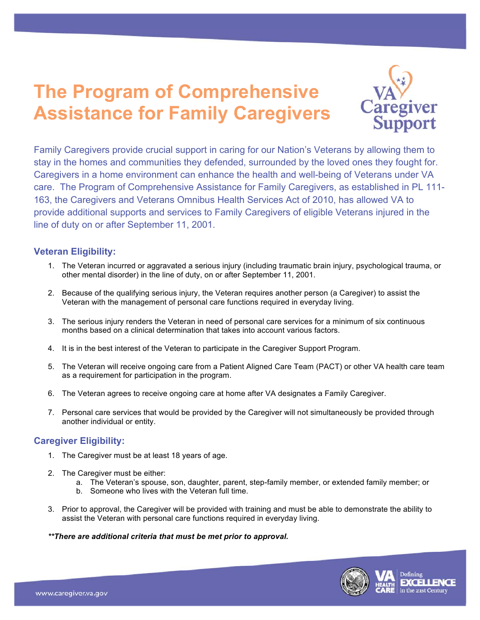# **The Program of Comprehensive Assistance for Family Caregivers**



 Family Caregivers provide crucial support in caring for our Nation's Veterans by allowing them to stay in the homes and communities they defended, surrounded by the loved ones they fought for. Caregivers in a home environment can enhance the health and well-being of Veterans under VA care. The Program of Comprehensive Assistance for Family Caregivers, as established in PL 111- 163, the Caregivers and Veterans Omnibus Health Services Act of 2010, has allowed VA to provide additional supports and services to Family Caregivers of eligible Veterans injured in the line of duty on or after September 11, 2001.

### **Veteran Eligibility:**

- 1. The Veteran incurred or aggravated a serious injury (including traumatic brain injury, psychological trauma, or other mental disorder) in the line of duty, on or after September 11, 2001.
- 2. Because of the qualifying serious injury, the Veteran requires another person (a Caregiver) to assist the Veteran with the management of personal care functions required in everyday living.
- 3. The serious injury renders the Veteran in need of personal care services for a minimum of six continuous months based on a clinical determination that takes into account various factors.
- 4. It is in the best interest of the Veteran to participate in the Caregiver Support Program.
- 5. The Veteran will receive ongoing care from a Patient Aligned Care Team (PACT) or other VA health care team as a requirement for participation in the program.
- 6. The Veteran agrees to receive ongoing care at home after VA designates a Family Caregiver.
- 7. Personal care services that would be provided by the Caregiver will not simultaneously be provided through another individual or entity.

#### **Caregiver Eligibility:**

- 1. The Caregiver must be at least 18 years of age.
- 2. The Caregiver must be either:
	- a. The Veteran's spouse, son, daughter, parent, step-family member, or extended family member; or
	- b. Someone who lives with the Veteran full time.
- 3. Prior to approval, the Caregiver will be provided with training and must be able to demonstrate the ability to assist the Veteran with personal care functions required in everyday living.

#### *\*\*There are additional criteria that must be met prior to approval.*